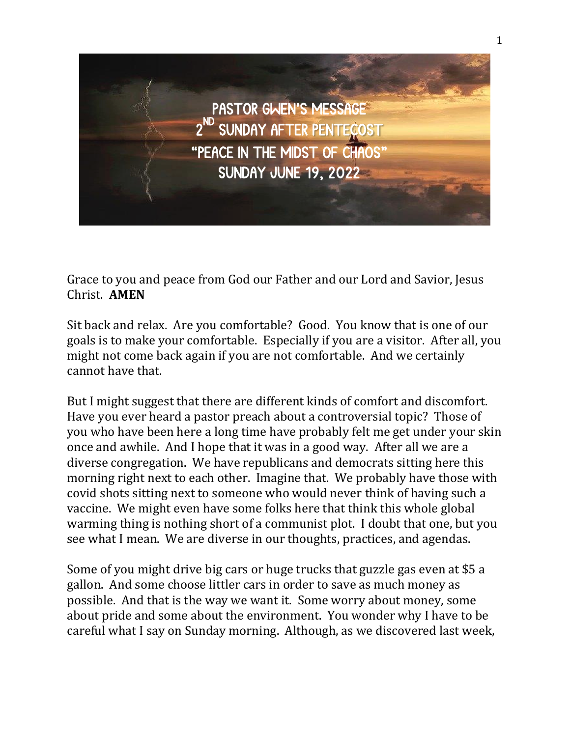

Grace to you and peace from God our Father and our Lord and Savior, Jesus Christ. **AMEN**

Sit back and relax. Are you comfortable? Good. You know that is one of our goals is to make your comfortable. Especially if you are a visitor. After all, you might not come back again if you are not comfortable. And we certainly cannot have that.

But I might suggest that there are different kinds of comfort and discomfort. Have you ever heard a pastor preach about a controversial topic? Those of you who have been here a long time have probably felt me get under your skin once and awhile. And I hope that it was in a good way. After all we are a diverse congregation. We have republicans and democrats sitting here this morning right next to each other. Imagine that. We probably have those with covid shots sitting next to someone who would never think of having such a vaccine. We might even have some folks here that think this whole global warming thing is nothing short of a communist plot. I doubt that one, but you see what I mean. We are diverse in our thoughts, practices, and agendas.

Some of you might drive big cars or huge trucks that guzzle gas even at \$5 a gallon. And some choose littler cars in order to save as much money as possible. And that is the way we want it. Some worry about money, some about pride and some about the environment. You wonder why I have to be careful what I say on Sunday morning. Although, as we discovered last week,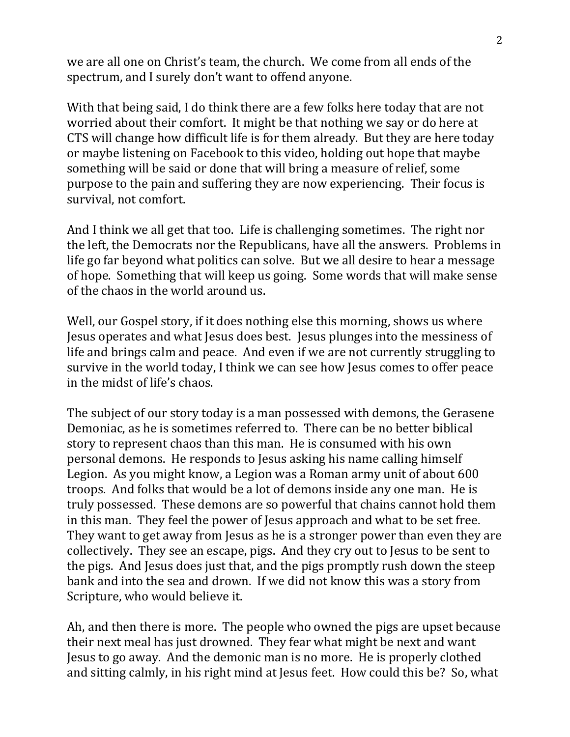we are all one on Christ's team, the church. We come from all ends of the spectrum, and I surely don't want to offend anyone.

With that being said, I do think there are a few folks here today that are not worried about their comfort. It might be that nothing we say or do here at CTS will change how difficult life is for them already. But they are here today or maybe listening on Facebook to this video, holding out hope that maybe something will be said or done that will bring a measure of relief, some purpose to the pain and suffering they are now experiencing. Their focus is survival, not comfort.

And I think we all get that too. Life is challenging sometimes. The right nor the left, the Democrats nor the Republicans, have all the answers. Problems in life go far beyond what politics can solve. But we all desire to hear a message of hope. Something that will keep us going. Some words that will make sense of the chaos in the world around us.

Well, our Gospel story, if it does nothing else this morning, shows us where Jesus operates and what Jesus does best. Jesus plunges into the messiness of life and brings calm and peace. And even if we are not currently struggling to survive in the world today, I think we can see how Jesus comes to offer peace in the midst of life's chaos.

The subject of our story today is a man possessed with demons, the Gerasene Demoniac, as he is sometimes referred to. There can be no better biblical story to represent chaos than this man. He is consumed with his own personal demons. He responds to Jesus asking his name calling himself Legion. As you might know, a Legion was a Roman army unit of about 600 troops. And folks that would be a lot of demons inside any one man. He is truly possessed. These demons are so powerful that chains cannot hold them in this man. They feel the power of Jesus approach and what to be set free. They want to get away from Jesus as he is a stronger power than even they are collectively. They see an escape, pigs. And they cry out to Jesus to be sent to the pigs. And Jesus does just that, and the pigs promptly rush down the steep bank and into the sea and drown. If we did not know this was a story from Scripture, who would believe it.

Ah, and then there is more. The people who owned the pigs are upset because their next meal has just drowned. They fear what might be next and want Jesus to go away. And the demonic man is no more. He is properly clothed and sitting calmly, in his right mind at Jesus feet. How could this be? So, what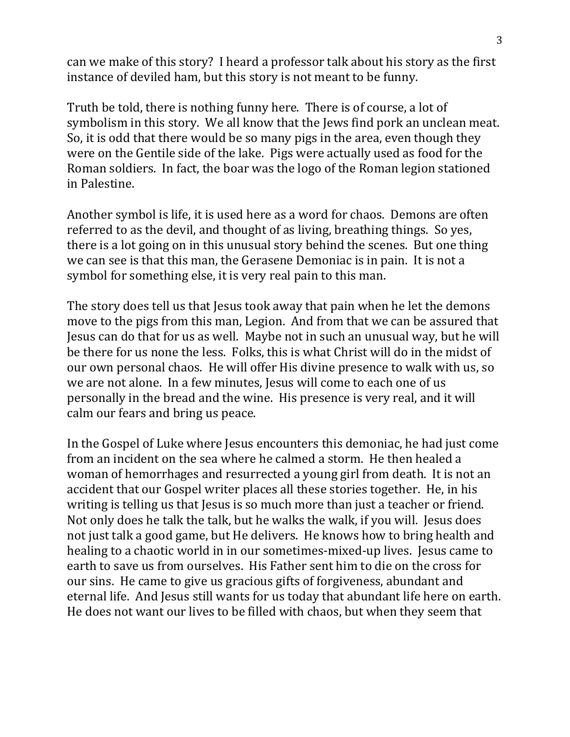can we make of this story? I heard a professor talk about his story as the first instance of deviled ham, but this story is not meant to be funny.

Truth be told, there is nothing funny here. There is of course, a lot of symbolism in this story. We all know that the Jews find pork an unclean meat. So, it is odd that there would be so many pigs in the area, even though they were on the Gentile side of the lake. Pigs were actually used as food for the Roman soldiers. In fact, the boar was the logo of the Roman legion stationed in Palestine.

Another symbol is life, it is used here as a word for chaos. Demons are often referred to as the devil, and thought of as living, breathing things. So yes, there is a lot going on in this unusual story behind the scenes. But one thing we can see is that this man, the Gerasene Demoniac is in pain. It is not a symbol for something else, it is very real pain to this man.

The story does tell us that Jesus took away that pain when he let the demons move to the pigs from this man, Legion. And from that we can be assured that Jesus can do that for us as well. Maybe not in such an unusual way, but he will be there for us none the less. Folks, this is what Christ will do in the midst of our own personal chaos. He will offer His divine presence to walk with us, so we are not alone. In a few minutes, Jesus will come to each one of us personally in the bread and the wine. His presence is very real, and it will calm our fears and bring us peace.

In the Gospel of Luke where Jesus encounters this demoniac, he had just come from an incident on the sea where he calmed a storm. He then healed a woman of hemorrhages and resurrected a young girl from death. It is not an accident that our Gospel writer places all these stories together. He, in his writing is telling us that Jesus is so much more than just a teacher or friend. Not only does he talk the talk, but he walks the walk, if you will. Jesus does not just talk a good game, but He delivers. He knows how to bring health and healing to a chaotic world in in our sometimes-mixed-up lives. Jesus came to earth to save us from ourselves. His Father sent him to die on the cross for our sins. He came to give us gracious gifts of forgiveness, abundant and eternal life. And Jesus still wants for us today that abundant life here on earth. He does not want our lives to be filled with chaos, but when they seem that